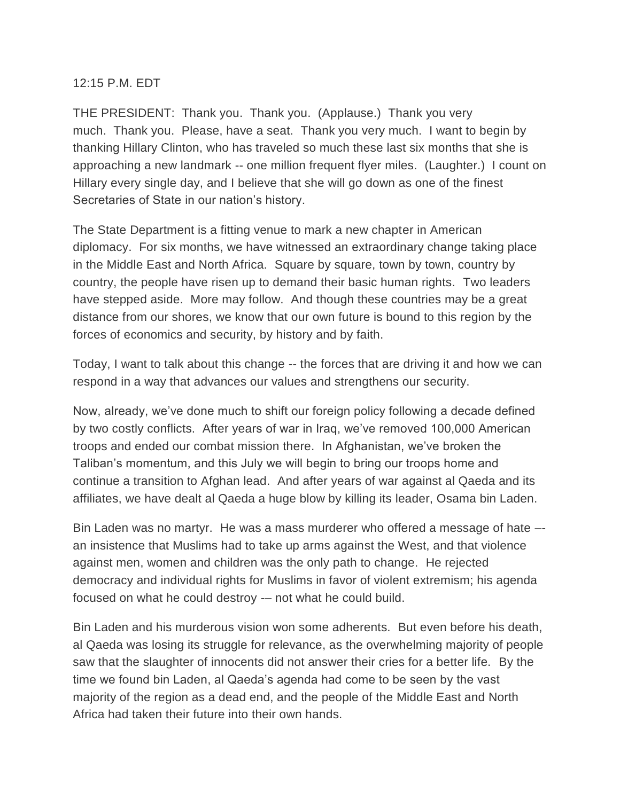## 12:15 P.M. EDT

THE PRESIDENT: Thank you. Thank you. (Applause.) Thank you very much. Thank you. Please, have a seat. Thank you very much. I want to begin by thanking Hillary Clinton, who has traveled so much these last six months that she is approaching a new landmark -- one million frequent flyer miles. (Laughter.) I count on Hillary every single day, and I believe that she will go down as one of the finest Secretaries of State in our nation's history.

The State Department is a fitting venue to mark a new chapter in American diplomacy. For six months, we have witnessed an extraordinary change taking place in the Middle East and North Africa. Square by square, town by town, country by country, the people have risen up to demand their basic human rights. Two leaders have stepped aside. More may follow. And though these countries may be a great distance from our shores, we know that our own future is bound to this region by the forces of economics and security, by history and by faith.

Today, I want to talk about this change -- the forces that are driving it and how we can respond in a way that advances our values and strengthens our security.

Now, already, we've done much to shift our foreign policy following a decade defined by two costly conflicts. After years of war in Iraq, we've removed 100,000 American troops and ended our combat mission there. In Afghanistan, we've broken the Taliban's momentum, and this July we will begin to bring our troops home and continue a transition to Afghan lead. And after years of war against al Qaeda and its affiliates, we have dealt al Qaeda a huge blow by killing its leader, Osama bin Laden.

Bin Laden was no martyr. He was a mass murderer who offered a message of hate – an insistence that Muslims had to take up arms against the West, and that violence against men, women and children was the only path to change. He rejected democracy and individual rights for Muslims in favor of violent extremism; his agenda focused on what he could destroy -– not what he could build.

Bin Laden and his murderous vision won some adherents. But even before his death, al Qaeda was losing its struggle for relevance, as the overwhelming majority of people saw that the slaughter of innocents did not answer their cries for a better life. By the time we found bin Laden, al Qaeda's agenda had come to be seen by the vast majority of the region as a dead end, and the people of the Middle East and North Africa had taken their future into their own hands.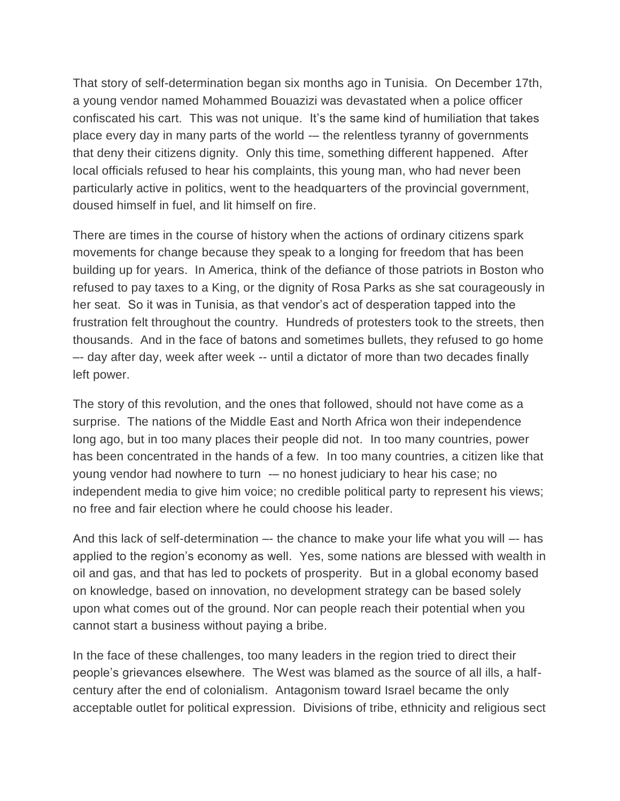That story of self-determination began six months ago in Tunisia. On December 17th, a young vendor named Mohammed Bouazizi was devastated when a police officer confiscated his cart. This was not unique. It's the same kind of humiliation that takes place every day in many parts of the world -– the relentless tyranny of governments that deny their citizens dignity. Only this time, something different happened. After local officials refused to hear his complaints, this young man, who had never been particularly active in politics, went to the headquarters of the provincial government, doused himself in fuel, and lit himself on fire.

There are times in the course of history when the actions of ordinary citizens spark movements for change because they speak to a longing for freedom that has been building up for years. In America, think of the defiance of those patriots in Boston who refused to pay taxes to a King, or the dignity of Rosa Parks as she sat courageously in her seat. So it was in Tunisia, as that vendor's act of desperation tapped into the frustration felt throughout the country. Hundreds of protesters took to the streets, then thousands. And in the face of batons and sometimes bullets, they refused to go home –- day after day, week after week -- until a dictator of more than two decades finally left power.

The story of this revolution, and the ones that followed, should not have come as a surprise. The nations of the Middle East and North Africa won their independence long ago, but in too many places their people did not. In too many countries, power has been concentrated in the hands of a few. In too many countries, a citizen like that young vendor had nowhere to turn -– no honest judiciary to hear his case; no independent media to give him voice; no credible political party to represent his views; no free and fair election where he could choose his leader.

And this lack of self-determination -- the chance to make your life what you will -- has applied to the region's economy as well. Yes, some nations are blessed with wealth in oil and gas, and that has led to pockets of prosperity. But in a global economy based on knowledge, based on innovation, no development strategy can be based solely upon what comes out of the ground. Nor can people reach their potential when you cannot start a business without paying a bribe.

In the face of these challenges, too many leaders in the region tried to direct their people's grievances elsewhere. The West was blamed as the source of all ills, a halfcentury after the end of colonialism. Antagonism toward Israel became the only acceptable outlet for political expression. Divisions of tribe, ethnicity and religious sect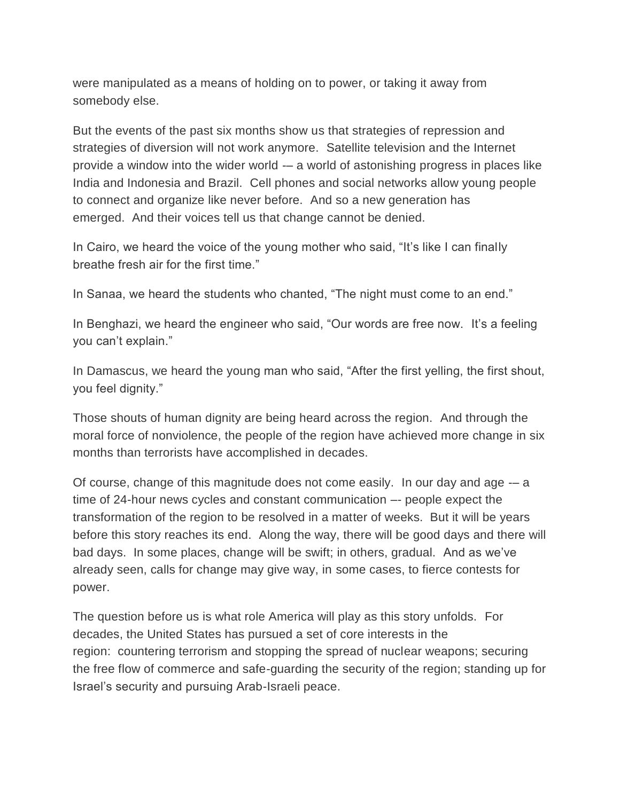were manipulated as a means of holding on to power, or taking it away from somebody else.

But the events of the past six months show us that strategies of repression and strategies of diversion will not work anymore. Satellite television and the Internet provide a window into the wider world -– a world of astonishing progress in places like India and Indonesia and Brazil. Cell phones and social networks allow young people to connect and organize like never before. And so a new generation has emerged. And their voices tell us that change cannot be denied.

In Cairo, we heard the voice of the young mother who said, "It's like I can finally breathe fresh air for the first time."

In Sanaa, we heard the students who chanted, "The night must come to an end."

In Benghazi, we heard the engineer who said, "Our words are free now. It's a feeling you can't explain."

In Damascus, we heard the young man who said, "After the first yelling, the first shout, you feel dignity."

Those shouts of human dignity are being heard across the region. And through the moral force of nonviolence, the people of the region have achieved more change in six months than terrorists have accomplished in decades.

Of course, change of this magnitude does not come easily. In our day and age -– a time of 24-hour news cycles and constant communication –- people expect the transformation of the region to be resolved in a matter of weeks. But it will be years before this story reaches its end. Along the way, there will be good days and there will bad days. In some places, change will be swift; in others, gradual. And as we've already seen, calls for change may give way, in some cases, to fierce contests for power.

The question before us is what role America will play as this story unfolds. For decades, the United States has pursued a set of core interests in the region: countering terrorism and stopping the spread of nuclear weapons; securing the free flow of commerce and safe-guarding the security of the region; standing up for Israel's security and pursuing Arab-Israeli peace.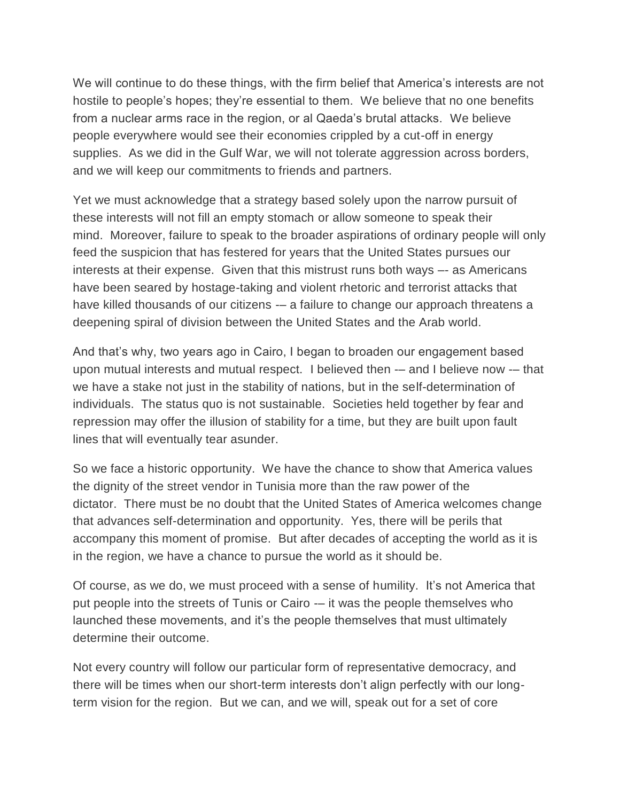We will continue to do these things, with the firm belief that America's interests are not hostile to people's hopes; they're essential to them. We believe that no one benefits from a nuclear arms race in the region, or al Qaeda's brutal attacks. We believe people everywhere would see their economies crippled by a cut-off in energy supplies. As we did in the Gulf War, we will not tolerate aggression across borders, and we will keep our commitments to friends and partners.

Yet we must acknowledge that a strategy based solely upon the narrow pursuit of these interests will not fill an empty stomach or allow someone to speak their mind. Moreover, failure to speak to the broader aspirations of ordinary people will only feed the suspicion that has festered for years that the United States pursues our interests at their expense. Given that this mistrust runs both ways –- as Americans have been seared by hostage-taking and violent rhetoric and terrorist attacks that have killed thousands of our citizens -- a failure to change our approach threatens a deepening spiral of division between the United States and the Arab world.

And that's why, two years ago in Cairo, I began to broaden our engagement based upon mutual interests and mutual respect. I believed then -– and I believe now -– that we have a stake not just in the stability of nations, but in the self-determination of individuals. The status quo is not sustainable. Societies held together by fear and repression may offer the illusion of stability for a time, but they are built upon fault lines that will eventually tear asunder.

So we face a historic opportunity. We have the chance to show that America values the dignity of the street vendor in Tunisia more than the raw power of the dictator. There must be no doubt that the United States of America welcomes change that advances self-determination and opportunity. Yes, there will be perils that accompany this moment of promise. But after decades of accepting the world as it is in the region, we have a chance to pursue the world as it should be.

Of course, as we do, we must proceed with a sense of humility. It's not America that put people into the streets of Tunis or Cairo -– it was the people themselves who launched these movements, and it's the people themselves that must ultimately determine their outcome.

Not every country will follow our particular form of representative democracy, and there will be times when our short-term interests don't align perfectly with our longterm vision for the region. But we can, and we will, speak out for a set of core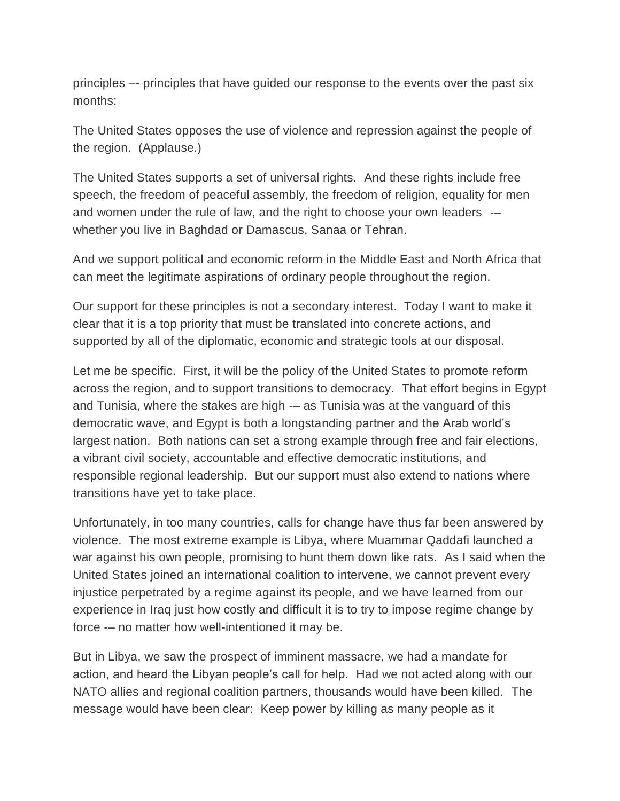principles –- principles that have guided our response to the events over the past six months:

The United States opposes the use of violence and repression against the people of the region. (Applause.)

The United States supports a set of universal rights. And these rights include free speech, the freedom of peaceful assembly, the freedom of religion, equality for men and women under the rule of law, and the right to choose your own leaders whether you live in Baghdad or Damascus, Sanaa or Tehran.

And we support political and economic reform in the Middle East and North Africa that can meet the legitimate aspirations of ordinary people throughout the region.

Our support for these principles is not a secondary interest. Today I want to make it clear that it is a top priority that must be translated into concrete actions, and supported by all of the diplomatic, economic and strategic tools at our disposal.

Let me be specific. First, it will be the policy of the United States to promote reform across the region, and to support transitions to democracy. That effort begins in Egypt and Tunisia, where the stakes are high -– as Tunisia was at the vanguard of this democratic wave, and Egypt is both a longstanding partner and the Arab world's largest nation. Both nations can set a strong example through free and fair elections, a vibrant civil society, accountable and effective democratic institutions, and responsible regional leadership. But our support must also extend to nations where transitions have yet to take place.

Unfortunately, in too many countries, calls for change have thus far been answered by violence. The most extreme example is Libya, where Muammar Qaddafi launched a war against his own people, promising to hunt them down like rats. As I said when the United States joined an international coalition to intervene, we cannot prevent every injustice perpetrated by a regime against its people, and we have learned from our experience in Iraq just how costly and difficult it is to try to impose regime change by force -– no matter how well-intentioned it may be.

But in Libya, we saw the prospect of imminent massacre, we had a mandate for action, and heard the Libyan people's call for help. Had we not acted along with our NATO allies and regional coalition partners, thousands would have been killed. The message would have been clear: Keep power by killing as many people as it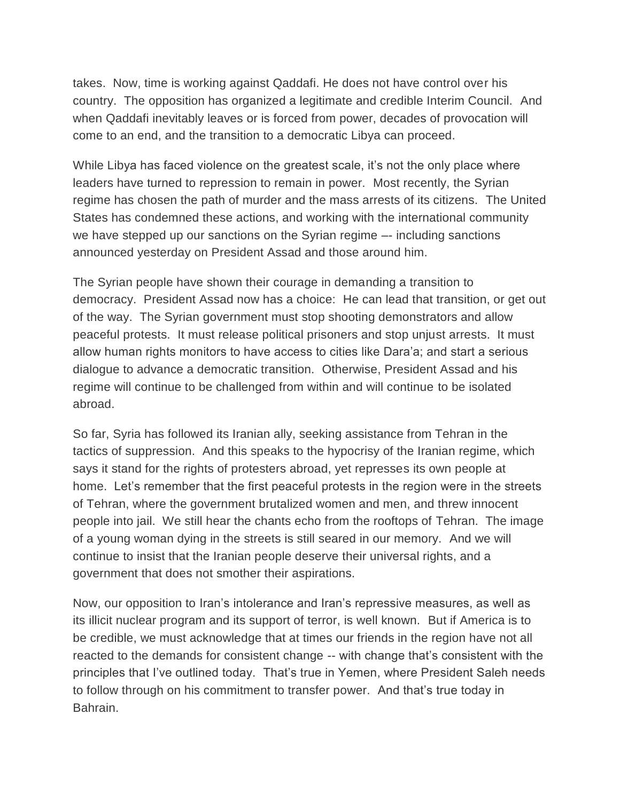takes. Now, time is working against Qaddafi. He does not have control over his country. The opposition has organized a legitimate and credible Interim Council. And when Qaddafi inevitably leaves or is forced from power, decades of provocation will come to an end, and the transition to a democratic Libya can proceed.

While Libya has faced violence on the greatest scale, it's not the only place where leaders have turned to repression to remain in power. Most recently, the Syrian regime has chosen the path of murder and the mass arrests of its citizens. The United States has condemned these actions, and working with the international community we have stepped up our sanctions on the Syrian regime  $-$ - including sanctions announced yesterday on President Assad and those around him.

The Syrian people have shown their courage in demanding a transition to democracy. President Assad now has a choice: He can lead that transition, or get out of the way. The Syrian government must stop shooting demonstrators and allow peaceful protests. It must release political prisoners and stop unjust arrests. It must allow human rights monitors to have access to cities like Dara'a; and start a serious dialogue to advance a democratic transition. Otherwise, President Assad and his regime will continue to be challenged from within and will continue to be isolated abroad.

So far, Syria has followed its Iranian ally, seeking assistance from Tehran in the tactics of suppression. And this speaks to the hypocrisy of the Iranian regime, which says it stand for the rights of protesters abroad, yet represses its own people at home. Let's remember that the first peaceful protests in the region were in the streets of Tehran, where the government brutalized women and men, and threw innocent people into jail. We still hear the chants echo from the rooftops of Tehran. The image of a young woman dying in the streets is still seared in our memory. And we will continue to insist that the Iranian people deserve their universal rights, and a government that does not smother their aspirations.

Now, our opposition to Iran's intolerance and Iran's repressive measures, as well as its illicit nuclear program and its support of terror, is well known. But if America is to be credible, we must acknowledge that at times our friends in the region have not all reacted to the demands for consistent change -- with change that's consistent with the principles that I've outlined today. That's true in Yemen, where President Saleh needs to follow through on his commitment to transfer power. And that's true today in Bahrain.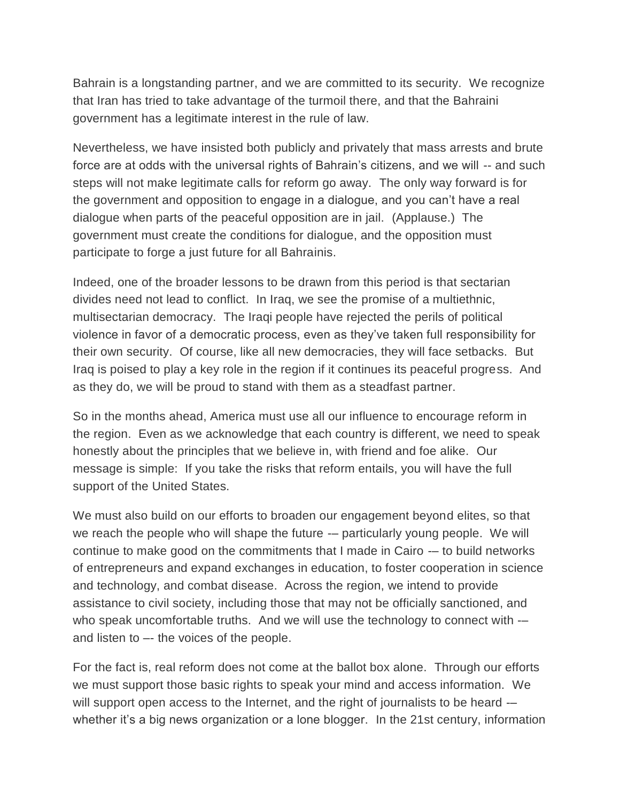Bahrain is a longstanding partner, and we are committed to its security. We recognize that Iran has tried to take advantage of the turmoil there, and that the Bahraini government has a legitimate interest in the rule of law.

Nevertheless, we have insisted both publicly and privately that mass arrests and brute force are at odds with the universal rights of Bahrain's citizens, and we will -- and such steps will not make legitimate calls for reform go away. The only way forward is for the government and opposition to engage in a dialogue, and you can't have a real dialogue when parts of the peaceful opposition are in jail. (Applause.) The government must create the conditions for dialogue, and the opposition must participate to forge a just future for all Bahrainis.

Indeed, one of the broader lessons to be drawn from this period is that sectarian divides need not lead to conflict. In Iraq, we see the promise of a multiethnic, multisectarian democracy. The Iraqi people have rejected the perils of political violence in favor of a democratic process, even as they've taken full responsibility for their own security. Of course, like all new democracies, they will face setbacks. But Iraq is poised to play a key role in the region if it continues its peaceful progress. And as they do, we will be proud to stand with them as a steadfast partner.

So in the months ahead, America must use all our influence to encourage reform in the region. Even as we acknowledge that each country is different, we need to speak honestly about the principles that we believe in, with friend and foe alike. Our message is simple: If you take the risks that reform entails, you will have the full support of the United States.

We must also build on our efforts to broaden our engagement beyond elites, so that we reach the people who will shape the future -- particularly young people. We will continue to make good on the commitments that I made in Cairo -– to build networks of entrepreneurs and expand exchanges in education, to foster cooperation in science and technology, and combat disease. Across the region, we intend to provide assistance to civil society, including those that may not be officially sanctioned, and who speak uncomfortable truths. And we will use the technology to connect with -and listen to –- the voices of the people.

For the fact is, real reform does not come at the ballot box alone. Through our efforts we must support those basic rights to speak your mind and access information. We will support open access to the Internet, and the right of journalists to be heard whether it's a big news organization or a lone blogger. In the 21st century, information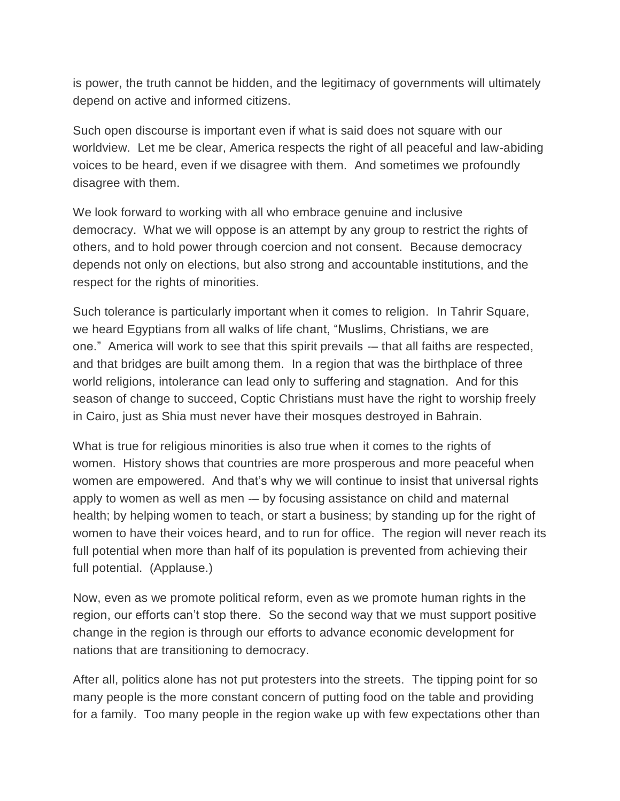is power, the truth cannot be hidden, and the legitimacy of governments will ultimately depend on active and informed citizens.

Such open discourse is important even if what is said does not square with our worldview. Let me be clear, America respects the right of all peaceful and law-abiding voices to be heard, even if we disagree with them. And sometimes we profoundly disagree with them.

We look forward to working with all who embrace genuine and inclusive democracy. What we will oppose is an attempt by any group to restrict the rights of others, and to hold power through coercion and not consent. Because democracy depends not only on elections, but also strong and accountable institutions, and the respect for the rights of minorities.

Such tolerance is particularly important when it comes to religion. In Tahrir Square, we heard Egyptians from all walks of life chant, "Muslims, Christians, we are one." America will work to see that this spirit prevails -– that all faiths are respected, and that bridges are built among them. In a region that was the birthplace of three world religions, intolerance can lead only to suffering and stagnation. And for this season of change to succeed, Coptic Christians must have the right to worship freely in Cairo, just as Shia must never have their mosques destroyed in Bahrain.

What is true for religious minorities is also true when it comes to the rights of women. History shows that countries are more prosperous and more peaceful when women are empowered. And that's why we will continue to insist that universal rights apply to women as well as men -– by focusing assistance on child and maternal health; by helping women to teach, or start a business; by standing up for the right of women to have their voices heard, and to run for office. The region will never reach its full potential when more than half of its population is prevented from achieving their full potential. (Applause.)

Now, even as we promote political reform, even as we promote human rights in the region, our efforts can't stop there. So the second way that we must support positive change in the region is through our efforts to advance economic development for nations that are transitioning to democracy.

After all, politics alone has not put protesters into the streets. The tipping point for so many people is the more constant concern of putting food on the table and providing for a family. Too many people in the region wake up with few expectations other than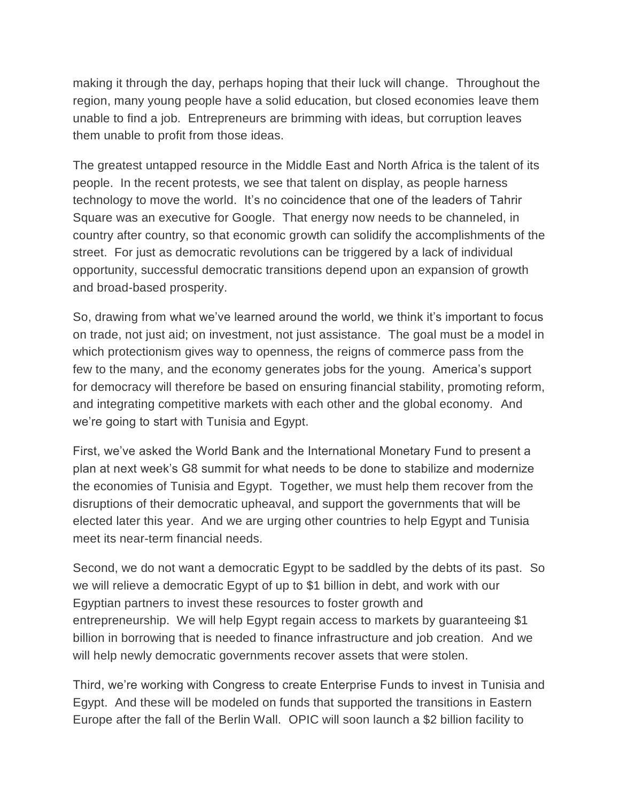making it through the day, perhaps hoping that their luck will change. Throughout the region, many young people have a solid education, but closed economies leave them unable to find a job. Entrepreneurs are brimming with ideas, but corruption leaves them unable to profit from those ideas.

The greatest untapped resource in the Middle East and North Africa is the talent of its people. In the recent protests, we see that talent on display, as people harness technology to move the world. It's no coincidence that one of the leaders of Tahrir Square was an executive for Google. That energy now needs to be channeled, in country after country, so that economic growth can solidify the accomplishments of the street. For just as democratic revolutions can be triggered by a lack of individual opportunity, successful democratic transitions depend upon an expansion of growth and broad-based prosperity.

So, drawing from what we've learned around the world, we think it's important to focus on trade, not just aid; on investment, not just assistance. The goal must be a model in which protectionism gives way to openness, the reigns of commerce pass from the few to the many, and the economy generates jobs for the young. America's support for democracy will therefore be based on ensuring financial stability, promoting reform, and integrating competitive markets with each other and the global economy. And we're going to start with Tunisia and Egypt.

First, we've asked the World Bank and the International Monetary Fund to present a plan at next week's G8 summit for what needs to be done to stabilize and modernize the economies of Tunisia and Egypt. Together, we must help them recover from the disruptions of their democratic upheaval, and support the governments that will be elected later this year. And we are urging other countries to help Egypt and Tunisia meet its near-term financial needs.

Second, we do not want a democratic Egypt to be saddled by the debts of its past. So we will relieve a democratic Egypt of up to \$1 billion in debt, and work with our Egyptian partners to invest these resources to foster growth and entrepreneurship. We will help Egypt regain access to markets by guaranteeing \$1 billion in borrowing that is needed to finance infrastructure and job creation. And we will help newly democratic governments recover assets that were stolen.

Third, we're working with Congress to create Enterprise Funds to invest in Tunisia and Egypt. And these will be modeled on funds that supported the transitions in Eastern Europe after the fall of the Berlin Wall. OPIC will soon launch a \$2 billion facility to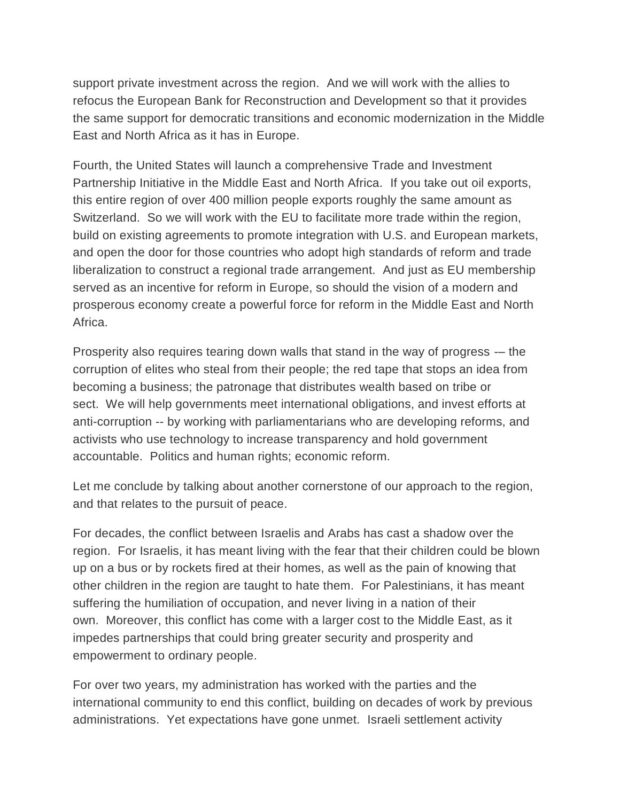support private investment across the region. And we will work with the allies to refocus the European Bank for Reconstruction and Development so that it provides the same support for democratic transitions and economic modernization in the Middle East and North Africa as it has in Europe.

Fourth, the United States will launch a comprehensive Trade and Investment Partnership Initiative in the Middle East and North Africa. If you take out oil exports, this entire region of over 400 million people exports roughly the same amount as Switzerland. So we will work with the EU to facilitate more trade within the region, build on existing agreements to promote integration with U.S. and European markets, and open the door for those countries who adopt high standards of reform and trade liberalization to construct a regional trade arrangement. And just as EU membership served as an incentive for reform in Europe, so should the vision of a modern and prosperous economy create a powerful force for reform in the Middle East and North Africa.

Prosperity also requires tearing down walls that stand in the way of progress -– the corruption of elites who steal from their people; the red tape that stops an idea from becoming a business; the patronage that distributes wealth based on tribe or sect. We will help governments meet international obligations, and invest efforts at anti-corruption -- by working with parliamentarians who are developing reforms, and activists who use technology to increase transparency and hold government accountable. Politics and human rights; economic reform.

Let me conclude by talking about another cornerstone of our approach to the region, and that relates to the pursuit of peace.

For decades, the conflict between Israelis and Arabs has cast a shadow over the region. For Israelis, it has meant living with the fear that their children could be blown up on a bus or by rockets fired at their homes, as well as the pain of knowing that other children in the region are taught to hate them. For Palestinians, it has meant suffering the humiliation of occupation, and never living in a nation of their own. Moreover, this conflict has come with a larger cost to the Middle East, as it impedes partnerships that could bring greater security and prosperity and empowerment to ordinary people.

For over two years, my administration has worked with the parties and the international community to end this conflict, building on decades of work by previous administrations. Yet expectations have gone unmet. Israeli settlement activity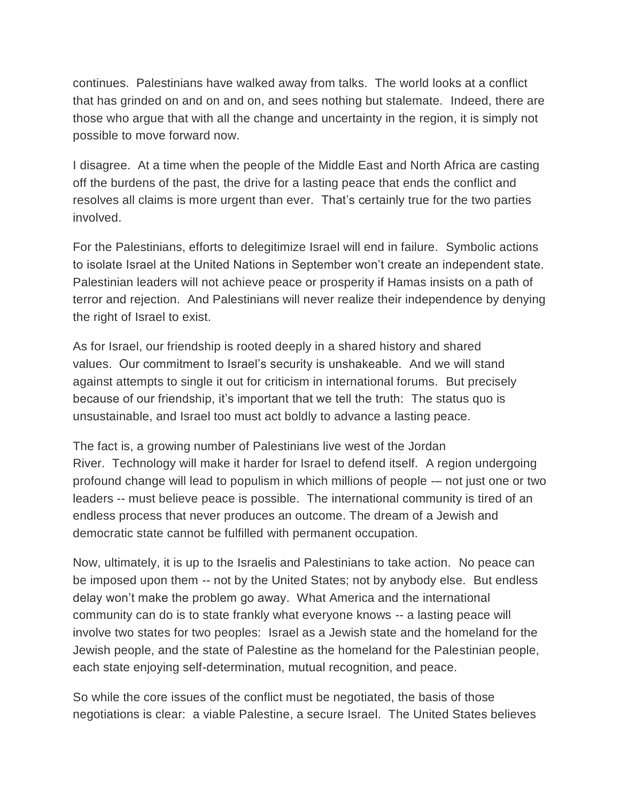continues. Palestinians have walked away from talks. The world looks at a conflict that has grinded on and on and on, and sees nothing but stalemate. Indeed, there are those who argue that with all the change and uncertainty in the region, it is simply not possible to move forward now.

I disagree. At a time when the people of the Middle East and North Africa are casting off the burdens of the past, the drive for a lasting peace that ends the conflict and resolves all claims is more urgent than ever. That's certainly true for the two parties involved.

For the Palestinians, efforts to delegitimize Israel will end in failure. Symbolic actions to isolate Israel at the United Nations in September won't create an independent state. Palestinian leaders will not achieve peace or prosperity if Hamas insists on a path of terror and rejection. And Palestinians will never realize their independence by denying the right of Israel to exist.

As for Israel, our friendship is rooted deeply in a shared history and shared values. Our commitment to Israel's security is unshakeable. And we will stand against attempts to single it out for criticism in international forums. But precisely because of our friendship, it's important that we tell the truth: The status quo is unsustainable, and Israel too must act boldly to advance a lasting peace.

The fact is, a growing number of Palestinians live west of the Jordan River. Technology will make it harder for Israel to defend itself. A region undergoing profound change will lead to populism in which millions of people -– not just one or two leaders -- must believe peace is possible. The international community is tired of an endless process that never produces an outcome. The dream of a Jewish and democratic state cannot be fulfilled with permanent occupation.

Now, ultimately, it is up to the Israelis and Palestinians to take action. No peace can be imposed upon them -- not by the United States; not by anybody else. But endless delay won't make the problem go away. What America and the international community can do is to state frankly what everyone knows -- a lasting peace will involve two states for two peoples: Israel as a Jewish state and the homeland for the Jewish people, and the state of Palestine as the homeland for the Palestinian people, each state enjoying self-determination, mutual recognition, and peace.

So while the core issues of the conflict must be negotiated, the basis of those negotiations is clear: a viable Palestine, a secure Israel. The United States believes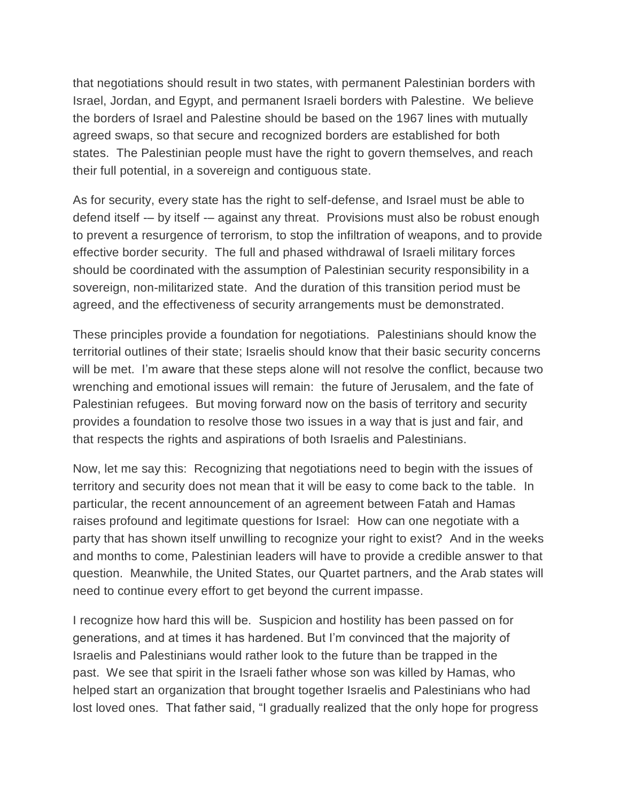that negotiations should result in two states, with permanent Palestinian borders with Israel, Jordan, and Egypt, and permanent Israeli borders with Palestine. We believe the borders of Israel and Palestine should be based on the 1967 lines with mutually agreed swaps, so that secure and recognized borders are established for both states. The Palestinian people must have the right to govern themselves, and reach their full potential, in a sovereign and contiguous state.

As for security, every state has the right to self-defense, and Israel must be able to defend itself -– by itself -– against any threat. Provisions must also be robust enough to prevent a resurgence of terrorism, to stop the infiltration of weapons, and to provide effective border security. The full and phased withdrawal of Israeli military forces should be coordinated with the assumption of Palestinian security responsibility in a sovereign, non-militarized state. And the duration of this transition period must be agreed, and the effectiveness of security arrangements must be demonstrated.

These principles provide a foundation for negotiations. Palestinians should know the territorial outlines of their state; Israelis should know that their basic security concerns will be met. I'm aware that these steps alone will not resolve the conflict, because two wrenching and emotional issues will remain: the future of Jerusalem, and the fate of Palestinian refugees. But moving forward now on the basis of territory and security provides a foundation to resolve those two issues in a way that is just and fair, and that respects the rights and aspirations of both Israelis and Palestinians.

Now, let me say this: Recognizing that negotiations need to begin with the issues of territory and security does not mean that it will be easy to come back to the table. In particular, the recent announcement of an agreement between Fatah and Hamas raises profound and legitimate questions for Israel: How can one negotiate with a party that has shown itself unwilling to recognize your right to exist? And in the weeks and months to come, Palestinian leaders will have to provide a credible answer to that question. Meanwhile, the United States, our Quartet partners, and the Arab states will need to continue every effort to get beyond the current impasse.

I recognize how hard this will be. Suspicion and hostility has been passed on for generations, and at times it has hardened. But I'm convinced that the majority of Israelis and Palestinians would rather look to the future than be trapped in the past. We see that spirit in the Israeli father whose son was killed by Hamas, who helped start an organization that brought together Israelis and Palestinians who had lost loved ones. That father said, "I gradually realized that the only hope for progress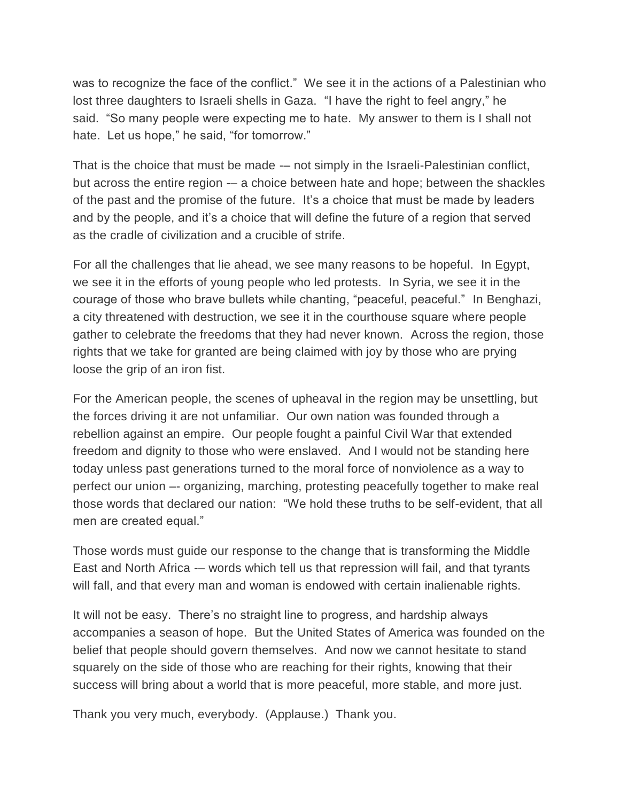was to recognize the face of the conflict." We see it in the actions of a Palestinian who lost three daughters to Israeli shells in Gaza. "I have the right to feel angry," he said. "So many people were expecting me to hate. My answer to them is I shall not hate. Let us hope," he said, "for tomorrow."

That is the choice that must be made -– not simply in the Israeli-Palestinian conflict, but across the entire region -– a choice between hate and hope; between the shackles of the past and the promise of the future. It's a choice that must be made by leaders and by the people, and it's a choice that will define the future of a region that served as the cradle of civilization and a crucible of strife.

For all the challenges that lie ahead, we see many reasons to be hopeful. In Egypt, we see it in the efforts of young people who led protests. In Syria, we see it in the courage of those who brave bullets while chanting, "peaceful, peaceful." In Benghazi, a city threatened with destruction, we see it in the courthouse square where people gather to celebrate the freedoms that they had never known. Across the region, those rights that we take for granted are being claimed with joy by those who are prying loose the grip of an iron fist.

For the American people, the scenes of upheaval in the region may be unsettling, but the forces driving it are not unfamiliar. Our own nation was founded through a rebellion against an empire. Our people fought a painful Civil War that extended freedom and dignity to those who were enslaved. And I would not be standing here today unless past generations turned to the moral force of nonviolence as a way to perfect our union –- organizing, marching, protesting peacefully together to make real those words that declared our nation: "We hold these truths to be self-evident, that all men are created equal."

Those words must guide our response to the change that is transforming the Middle East and North Africa -– words which tell us that repression will fail, and that tyrants will fall, and that every man and woman is endowed with certain inalienable rights.

It will not be easy. There's no straight line to progress, and hardship always accompanies a season of hope. But the United States of America was founded on the belief that people should govern themselves. And now we cannot hesitate to stand squarely on the side of those who are reaching for their rights, knowing that their success will bring about a world that is more peaceful, more stable, and more just.

Thank you very much, everybody. (Applause.) Thank you.